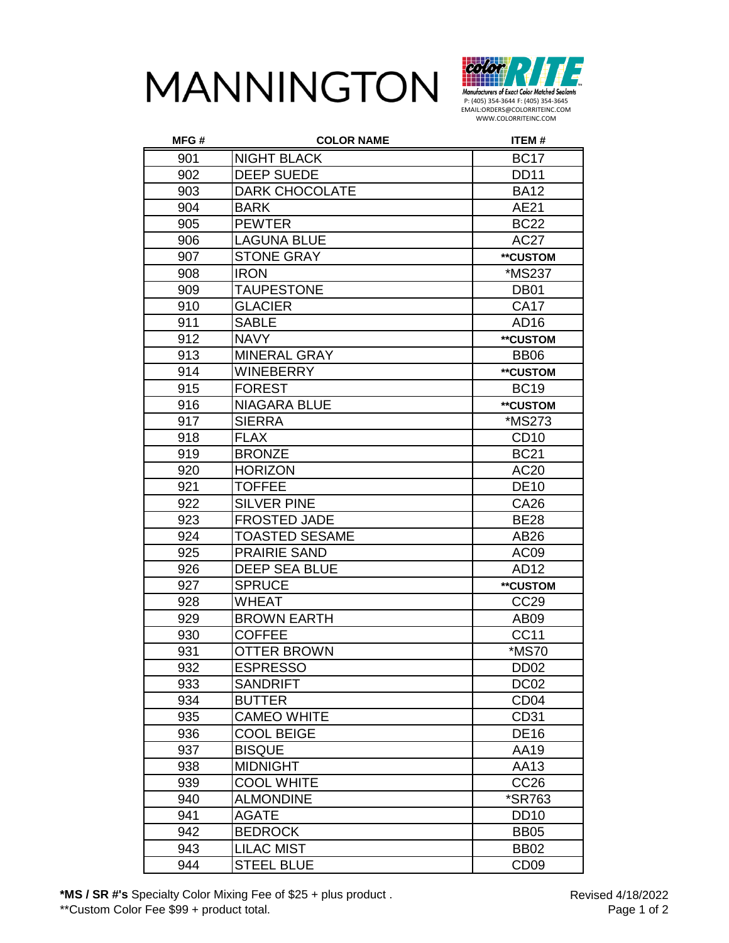



| MFG# | <b>COLOR NAME</b>     | <b>ITEM#</b>     |
|------|-----------------------|------------------|
| 901  | <b>NIGHT BLACK</b>    | <b>BC17</b>      |
| 902  | <b>DEEP SUEDE</b>     | <b>DD11</b>      |
| 903  | <b>DARK CHOCOLATE</b> | <b>BA12</b>      |
| 904  | <b>BARK</b>           | AE21             |
| 905  | <b>PEWTER</b>         | <b>BC22</b>      |
| 906  | <b>LAGUNA BLUE</b>    | <b>AC27</b>      |
| 907  | <b>STONE GRAY</b>     | **CUSTOM         |
| 908  | <b>IRON</b>           | *MS237           |
| 909  | <b>TAUPESTONE</b>     | DB <sub>01</sub> |
| 910  | <b>GLACIER</b>        | <b>CA17</b>      |
| 911  | <b>SABLE</b>          | AD <sub>16</sub> |
| 912  | <b>NAVY</b>           | **CUSTOM         |
| 913  | <b>MINERAL GRAY</b>   | <b>BB06</b>      |
| 914  | <b>WINEBERRY</b>      | **CUSTOM         |
| 915  | <b>FOREST</b>         | <b>BC19</b>      |
| 916  | <b>NIAGARA BLUE</b>   | **CUSTOM         |
| 917  | <b>SIERRA</b>         | *MS273           |
| 918  | <b>FLAX</b>           | CD <sub>10</sub> |
| 919  | <b>BRONZE</b>         | <b>BC21</b>      |
| 920  | <b>HORIZON</b>        | AC20             |
| 921  | <b>TOFFEE</b>         | <b>DE10</b>      |
| 922  | <b>SILVER PINE</b>    | <b>CA26</b>      |
| 923  | <b>FROSTED JADE</b>   | <b>BE28</b>      |
| 924  | <b>TOASTED SESAME</b> | AB26             |
| 925  | <b>PRAIRIE SAND</b>   | AC <sub>09</sub> |
| 926  | <b>DEEP SEA BLUE</b>  | AD12             |
| 927  | <b>SPRUCE</b>         | **CUSTOM         |
| 928  | <b>WHEAT</b>          | <b>CC29</b>      |
| 929  | <b>BROWN EARTH</b>    | AB <sub>09</sub> |
| 930  | <b>COFFEE</b>         | <b>CC11</b>      |
| 931  | <b>OTTER BROWN</b>    | *MS70            |
| 932  | <b>ESPRESSO</b>       | DD <sub>02</sub> |
| 933  | <b>SANDRIFT</b>       | DC <sub>02</sub> |
| 934  | <b>BUTTER</b>         | CD <sub>04</sub> |
| 935  | <b>CAMEO WHITE</b>    | CD31             |
| 936  | <b>COOL BEIGE</b>     | <b>DE16</b>      |
| 937  | <b>BISQUE</b>         | AA19             |
| 938  | <b>MIDNIGHT</b>       | AA13             |
| 939  | <b>COOL WHITE</b>     | CC <sub>26</sub> |
| 940  | <b>ALMONDINE</b>      | *SR763           |
| 941  | <b>AGATE</b>          | <b>DD10</b>      |
| 942  | <b>BEDROCK</b>        | <b>BB05</b>      |
| 943  | <b>LILAC MIST</b>     | <b>BB02</b>      |
| 944  | <b>STEEL BLUE</b>     | CD <sub>09</sub> |

**\*MS / SR #'s** Specialty Color Mixing Fee of \$25 + plus product . \*\*Custom Color Fee \$99 + product total.